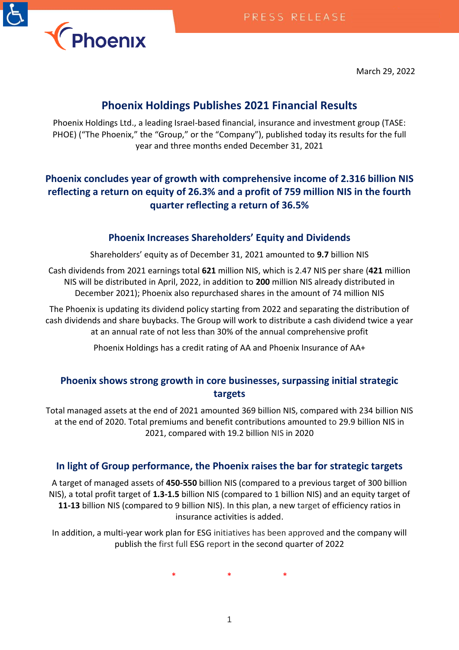March 29, 2022

# **Phoenix Holdings Publishes 2021 Financial Results**

Phoenix Holdings Ltd., a leading Israel-based financial, insurance and investment group (TASE: PHOE) ("The Phoenix," the "Group," or the "Company"), published today its results for the full year and three months ended December 31, 2021

# **Phoenix concludes year of growth with comprehensive income of 2.316 billion NIS reflecting a return on equity of 26.3% and a profit of 759 million NIS in the fourth quarter reflecting a return of 36.5%**

# **Phoenix Increases Shareholders' Equity and Dividends**

Shareholders' equity as of December 31, 2021 amounted to **9.7** billion NIS

Cash dividends from 2021 earnings total **621** million NIS, which is 2.47 NIS per share (**421** million NIS will be distributed in April, 2022, in addition to **200** million NIS already distributed in December 2021); Phoenix also repurchased shares in the amount of 74 million NIS

The Phoenix is updating its dividend policy starting from 2022 and separating the distribution of cash dividends and share buybacks. The Group will work to distribute a cash dividend twice a year at an annual rate of not less than 30% of the annual comprehensive profit

Phoenix Holdings has a credit rating of AA and Phoenix Insurance of AA+

# **Phoenix shows strong growth in core businesses, surpassing initial strategic targets**

Total managed assets at the end of 2021 amounted 369 billion NIS, compared with 234 billion NIS at the end of 2020. Total premiums and benefit contributions amounted to 29.9 billion NIS in 2021, compared with 19.2 billion NIS in 2020

## **In light of Group performance, the Phoenix raises the bar for strategic targets**

A target of managed assets of **450-550** billion NIS (compared to a previous target of 300 billion NIS), a total profit target of **1.3-1.5** billion NIS (compared to 1 billion NIS) and an equity target of **11-13** billion NIS (compared to 9 billion NIS). In this plan, a new target of efficiency ratios in insurance activities is added.

In addition, a multi-year work plan for ESG initiatives has been approved and the company will publish the first full ESG report in the second quarter of 2022

\* \* \*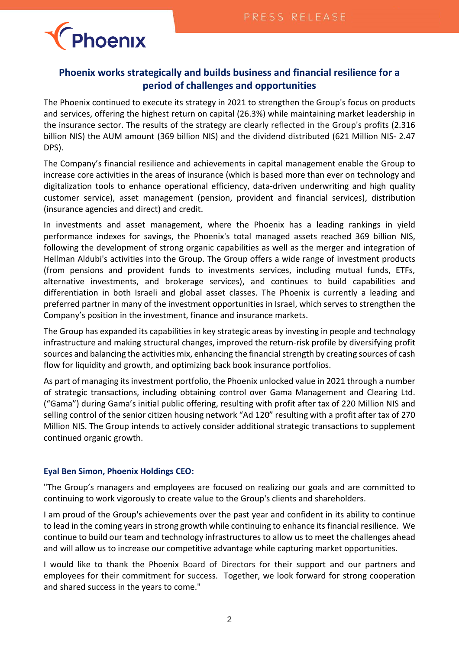

## **Phoenix works strategically and builds business and financial resilience for a period of challenges and opportunities**

The Phoenix continued to execute its strategy in 2021 to strengthen the Group's focus on products and services, offering the highest return on capital (26.3%) while maintaining market leadership in the insurance sector. The results of the strategy are clearly reflected in the Group's profits (2.316 billion NIS) the AUM amount (369 billion NIS) and the dividend distributed (621 Million NIS- 2.47 DPS).

The Company's financial resilience and achievements in capital management enable the Group to increase core activities in the areas of insurance (which is based more than ever on technology and digitalization tools to enhance operational efficiency, data-driven underwriting and high quality customer service), asset management (pension, provident and financial services), distribution (insurance agencies and direct) and credit.

In investments and asset management, where the Phoenix has a leading rankings in yield performance indexes for savings, the Phoenix's total managed assets reached 369 billion NIS, following the development of strong organic capabilities as well as the merger and integration of Hellman Aldubi's activities into the Group. The Group offers a wide range of investment products (from pensions and provident funds to investments services, including mutual funds, ETFs, alternative investments, and brokerage services), and continues to build capabilities and differentiation in both Israeli and global asset classes. The Phoenix is currently a leading and preferred partner in many of the investment opportunities in Israel, which serves to strengthen the Company's position in the investment, finance and insurance markets.

The Group has expanded its capabilities in key strategic areas by investing in people and technology infrastructure and making structural changes, improved the return-risk profile by diversifying profit sources and balancing the activities mix, enhancing the financial strength by creating sources of cash flow for liquidity and growth, and optimizing back book insurance portfolios.

As part of managing its investment portfolio, the Phoenix unlocked value in 2021 through a number of strategic transactions, including obtaining control over Gama Management and Clearing Ltd. ("Gama") during Gama's initial public offering, resulting with profit after tax of 220 Million NIS and selling control of the senior citizen housing network "Ad 120" resulting with a profit after tax of 270 Million NIS. The Group intends to actively consider additional strategic transactions to supplement continued organic growth.

#### **Eyal Ben Simon, Phoenix Holdings CEO:**

"The Group's managers and employees are focused on realizing our goals and are committed to continuing to work vigorously to create value to the Group's clients and shareholders.

I am proud of the Group's achievements over the past year and confident in its ability to continue to lead in the coming years in strong growth while continuing to enhance its financial resilience. We continue to build our team and technology infrastructures to allow us to meet the challenges ahead and will allow us to increase our competitive advantage while capturing market opportunities.

I would like to thank the Phoenix Board of Directors for their support and our partners and employees for their commitment for success. Together, we look forward for strong cooperation and shared success in the years to come."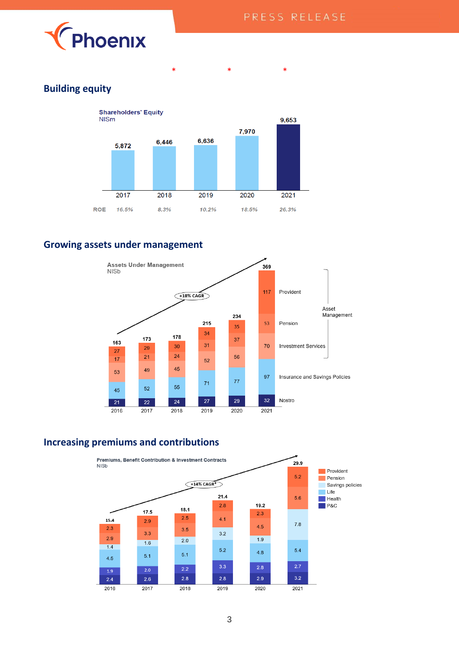

## **Building equity**



\* \* \* \*

## **Growing assets under management**



### **Increasing premiums and contributions**

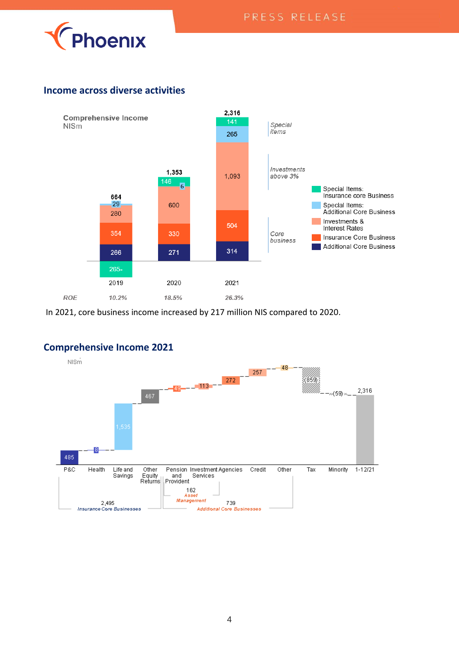

## **Income across diverse activities**



In 2021, core business income increased by 217 million NIS compared to 2020.

# **Comprehensive Income 2021**

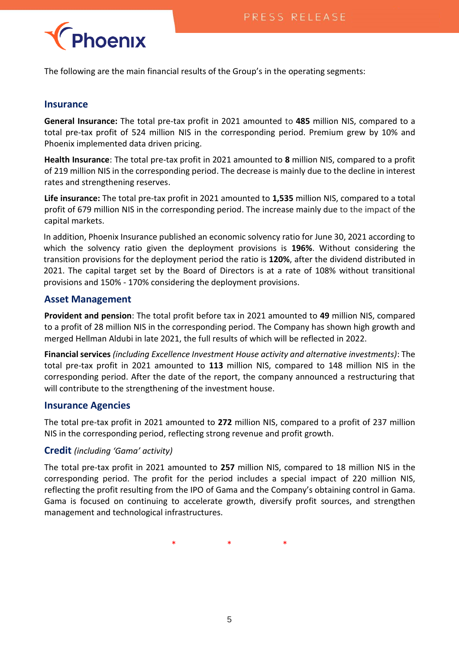

The following are the main financial results of the Group's in the operating segments:

### **Insurance**

**General Insurance:** The total pre-tax profit in 2021 amounted to **485** million NIS, compared to a total pre-tax profit of 524 million NIS in the corresponding period. Premium grew by 10% and Phoenix implemented data driven pricing.

**Health Insurance**: The total pre-tax profit in 2021 amounted to **8** million NIS, compared to a profit of 219 million NIS in the corresponding period. The decrease is mainly due to the decline in interest rates and strengthening reserves.

**Life insurance:** The total pre-tax profit in 2021 amounted to **1,535** million NIS, compared to a total profit of 679 million NIS in the corresponding period. The increase mainly due to the impact of the capital markets.

In addition, Phoenix Insurance published an economic solvency ratio for June 30, 2021 according to which the solvency ratio given the deployment provisions is **196%**. Without considering the transition provisions for the deployment period the ratio is **120%**, after the dividend distributed in 2021. The capital target set by the Board of Directors is at a rate of 108% without transitional provisions and 150% - 170% considering the deployment provisions.

### **Asset Management**

**Provident and pension**: The total profit before tax in 2021 amounted to **49** million NIS, compared to a profit of 28 million NIS in the corresponding period. The Company has shown high growth and merged Hellman Aldubi in late 2021, the full results of which will be reflected in 2022.

**Financial services** *(including Excellence Investment House activity and alternative investments)*: The total pre-tax profit in 2021 amounted to **113** million NIS, compared to 148 million NIS in the corresponding period. After the date of the report, the company announced a restructuring that will contribute to the strengthening of the investment house.

### **Insurance Agencies**

The total pre-tax profit in 2021 amounted to **272** million NIS, compared to a profit of 237 million NIS in the corresponding period, reflecting strong revenue and profit growth.

### **Credit** *(including 'Gama' activity)*

The total pre-tax profit in 2021 amounted to **257** million NIS, compared to 18 million NIS in the corresponding period. The profit for the period includes a special impact of 220 million NIS, reflecting the profit resulting from the IPO of Gama and the Company's obtaining control in Gama. Gama is focused on continuing to accelerate growth, diversify profit sources, and strengthen management and technological infrastructures.

\* \* \*